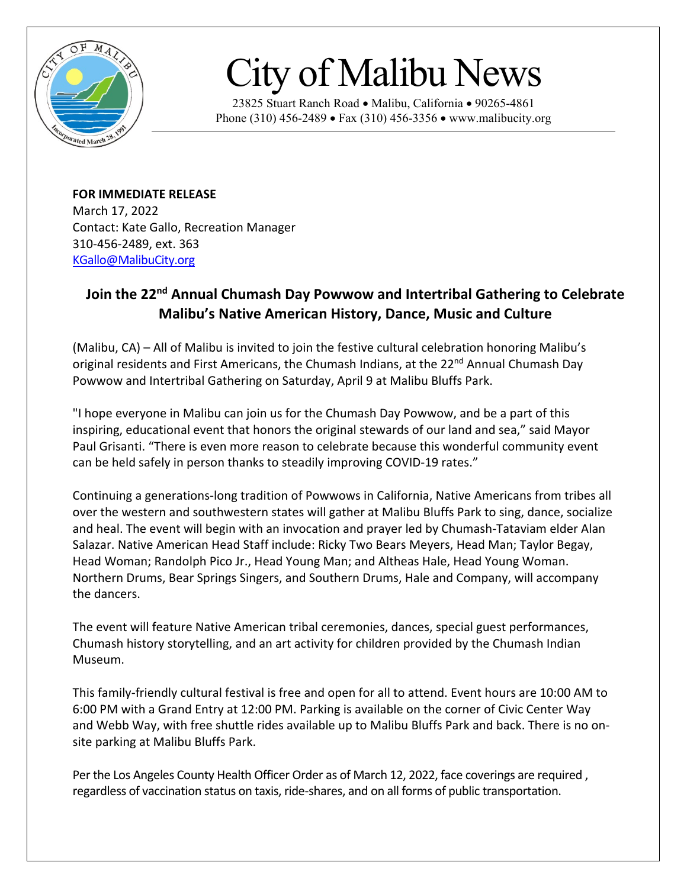

## City of Malibu News

23825 Stuart Ranch Road • Malibu, California • 90265-4861 Phone (310) 456-2489 • Fax (310) 456-3356 • www.malibucity.org

**FOR IMMEDIATE RELEASE** March 17, 2022 Contact: Kate Gallo, Recreation Manager 310-456-2489, ext. 363 [KGallo@MalibuCity.org](mailto:KGallo@MalibuCity.org)

## **Join the 22nd Annual Chumash Day Powwow and Intertribal Gathering to Celebrate Malibu's Native American History, Dance, Music and Culture**

(Malibu, CA) – All of Malibu is invited to join the festive cultural celebration honoring Malibu's original residents and First Americans, the Chumash Indians, at the 22<sup>nd</sup> Annual Chumash Day Powwow and Intertribal Gathering on Saturday, April 9 at Malibu Bluffs Park.

"I hope everyone in Malibu can join us for the Chumash Day Powwow, and be a part of this inspiring, educational event that honors the original stewards of our land and sea," said Mayor Paul Grisanti. "There is even more reason to celebrate because this wonderful community event can be held safely in person thanks to steadily improving COVID-19 rates."

Continuing a generations-long tradition of Powwows in California, Native Americans from tribes all over the western and southwestern states will gather at Malibu Bluffs Park to sing, dance, socialize and heal. The event will begin with an invocation and prayer led by Chumash-Tataviam elder Alan Salazar. Native American Head Staff include: Ricky Two Bears Meyers, Head Man; Taylor Begay, Head Woman; Randolph Pico Jr., Head Young Man; and Altheas Hale, Head Young Woman. Northern Drums, Bear Springs Singers, and Southern Drums, Hale and Company, will accompany the dancers.

The event will feature Native American tribal ceremonies, dances, special guest performances, Chumash history storytelling, and an art activity for children provided by the Chumash Indian Museum.

This family-friendly cultural festival is free and open for all to attend. Event hours are 10:00 AM to 6:00 PM with a Grand Entry at 12:00 PM. Parking is available on the corner of Civic Center Way and Webb Way, with free shuttle rides available up to Malibu Bluffs Park and back. There is no onsite parking at Malibu Bluffs Park.

Per the Los Angeles County Health Officer Order as of March 12, 2022, face coverings are required , regardless of vaccination status on taxis, ride-shares, and on all forms of public transportation.